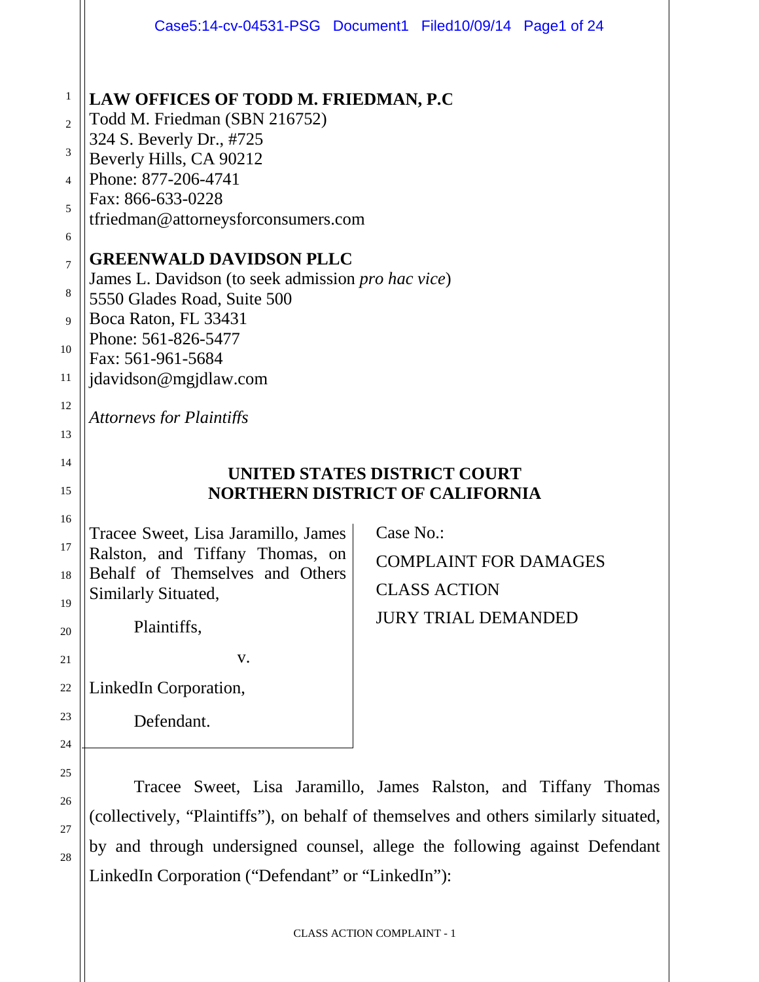|                                                                              |                                                                                                                                                                                                                                                                                            | Case5:14-cv-04531-PSG Document1 Filed10/09/14 Page1 of 24                                      |  |  |  |  |  |  |
|------------------------------------------------------------------------------|--------------------------------------------------------------------------------------------------------------------------------------------------------------------------------------------------------------------------------------------------------------------------------------------|------------------------------------------------------------------------------------------------|--|--|--|--|--|--|
| $\mathbf{1}$<br>$\overline{2}$<br>$\mathfrak{Z}$<br>$\overline{4}$<br>5<br>6 | LAW OFFICES OF TODD M. FRIEDMAN, P.C.<br>Todd M. Friedman (SBN 216752)<br>324 S. Beverly Dr., #725<br>Beverly Hills, CA 90212<br>Phone: 877-206-4741<br>Fax: 866-633-0228<br>tfriedman@attorneysforconsumers.com                                                                           |                                                                                                |  |  |  |  |  |  |
| $\overline{7}$<br>8<br>9<br>10<br>11<br>12                                   | <b>GREENWALD DAVIDSON PLLC</b><br>James L. Davidson (to seek admission pro hac vice)<br>5550 Glades Road, Suite 500<br>Boca Raton, FL 33431<br>Phone: 561-826-5477<br>Fax: 561-961-5684<br>jdavidson@mgjdlaw.com                                                                           |                                                                                                |  |  |  |  |  |  |
| 13<br>14<br>15                                                               | <b>Attorneys for Plaintiffs</b>                                                                                                                                                                                                                                                            | UNITED STATES DISTRICT COURT<br><b>NORTHERN DISTRICT OF CALIFORNIA</b>                         |  |  |  |  |  |  |
| 16<br>17<br>18<br>19<br>20<br>21<br>22<br>23<br>24                           | Tracee Sweet, Lisa Jaramillo, James<br>Ralston, and Tiffany Thomas, on<br>Behalf of Themselves and Others<br>Similarly Situated,<br>Plaintiffs,<br>V.<br>LinkedIn Corporation,<br>Defendant.                                                                                               | Case No.:<br><b>COMPLAINT FOR DAMAGES</b><br><b>CLASS ACTION</b><br><b>JURY TRIAL DEMANDED</b> |  |  |  |  |  |  |
| 25<br>26<br>27<br>28                                                         | Tracee Sweet, Lisa Jaramillo, James Ralston, and Tiffany Thomas<br>(collectively, "Plaintiffs"), on behalf of themselves and others similarly situated,<br>by and through undersigned counsel, allege the following against Defendant<br>LinkedIn Corporation ("Defendant" or "LinkedIn"): |                                                                                                |  |  |  |  |  |  |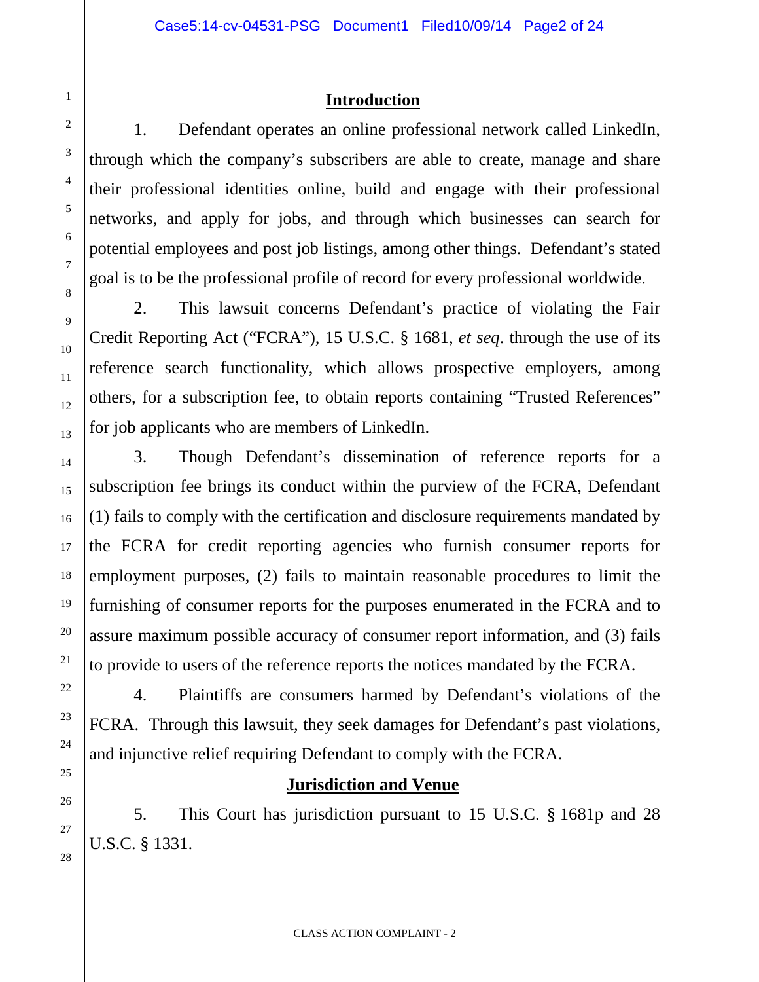## **Introduction**

1. Defendant operates an online professional network called LinkedIn, through which the company's subscribers are able to create, manage and share their professional identities online, build and engage with their professional networks, and apply for jobs, and through which businesses can search for potential employees and post job listings, among other things. Defendant's stated goal is to be the professional profile of record for every professional worldwide.

2. This lawsuit concerns Defendant's practice of violating the Fair Credit Reporting Act ("FCRA"), 15 U.S.C. § 1681, *et seq*. through the use of its reference search functionality, which allows prospective employers, among others, for a subscription fee, to obtain reports containing "Trusted References" for job applicants who are members of LinkedIn.

3. Though Defendant's dissemination of reference reports for a subscription fee brings its conduct within the purview of the FCRA, Defendant (1) fails to comply with the certification and disclosure requirements mandated by the FCRA for credit reporting agencies who furnish consumer reports for employment purposes, (2) fails to maintain reasonable procedures to limit the furnishing of consumer reports for the purposes enumerated in the FCRA and to assure maximum possible accuracy of consumer report information, and (3) fails to provide to users of the reference reports the notices mandated by the FCRA.

4. Plaintiffs are consumers harmed by Defendant's violations of the FCRA. Through this lawsuit, they seek damages for Defendant's past violations, and injunctive relief requiring Defendant to comply with the FCRA.

#### **Jurisdiction and Venue**

5. This Court has jurisdiction pursuant to 15 U.S.C. § 1681p and 28 U.S.C. § 1331.

1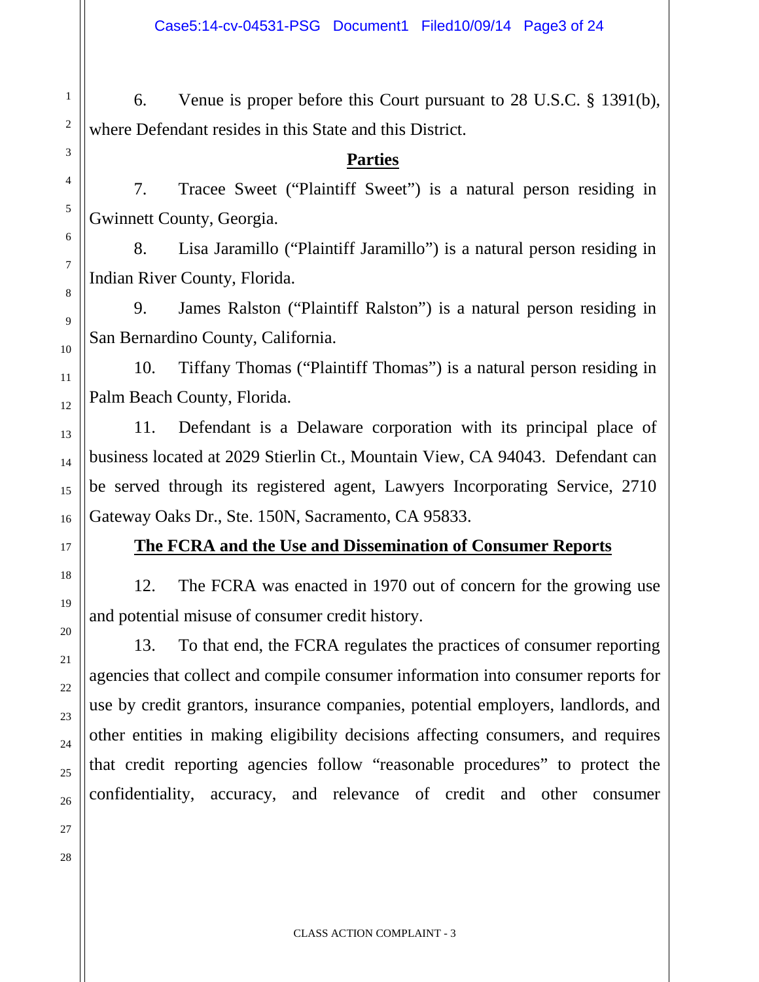6. Venue is proper before this Court pursuant to 28 U.S.C. § 1391(b), where Defendant resides in this State and this District.

#### **Parties**

7. Tracee Sweet ("Plaintiff Sweet") is a natural person residing in Gwinnett County, Georgia.

8. Lisa Jaramillo ("Plaintiff Jaramillo") is a natural person residing in Indian River County, Florida.

9. James Ralston ("Plaintiff Ralston") is a natural person residing in San Bernardino County, California.

10. Tiffany Thomas ("Plaintiff Thomas") is a natural person residing in Palm Beach County, Florida.

11. Defendant is a Delaware corporation with its principal place of business located at 2029 Stierlin Ct., Mountain View, CA 94043. Defendant can be served through its registered agent, Lawyers Incorporating Service, 2710 Gateway Oaks Dr., Ste. 150N, Sacramento, CA 95833.

## **The FCRA and the Use and Dissemination of Consumer Reports**

12. The FCRA was enacted in 1970 out of concern for the growing use and potential misuse of consumer credit history.

13. To that end, the FCRA regulates the practices of consumer reporting agencies that collect and compile consumer information into consumer reports for use by credit grantors, insurance companies, potential employers, landlords, and other entities in making eligibility decisions affecting consumers, and requires that credit reporting agencies follow "reasonable procedures" to protect the confidentiality, accuracy, and relevance of credit and other consumer

1

2

3

4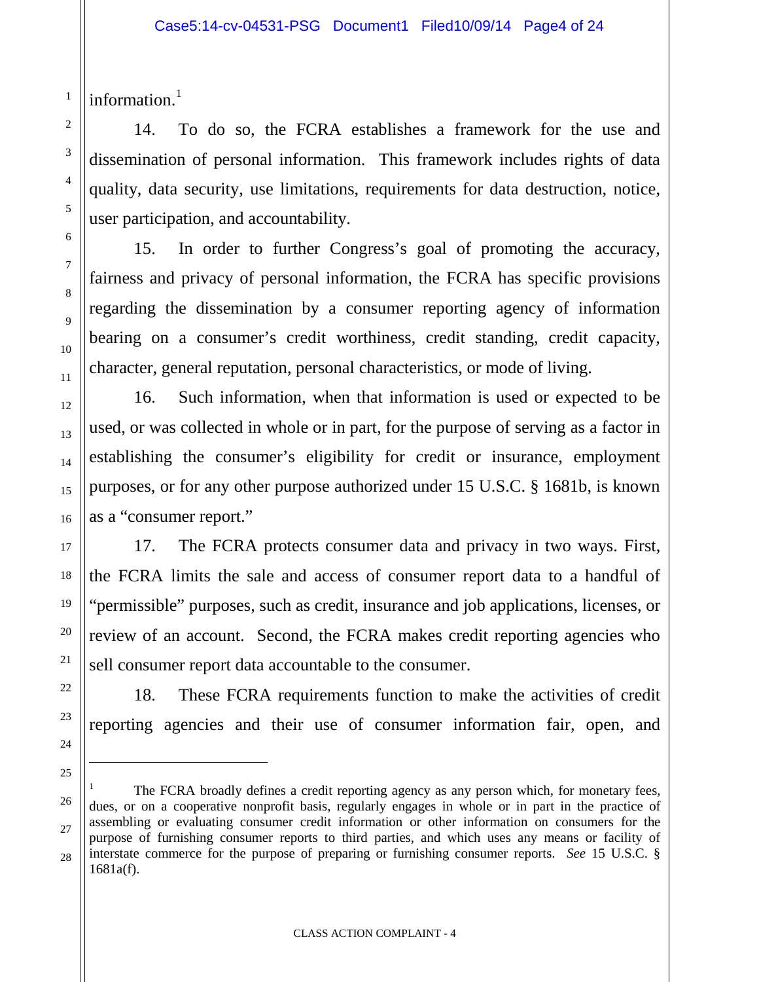information.<sup>[1](#page-3-0)</sup>

1

14. To do so, the FCRA establishes a framework for the use and dissemination of personal information. This framework includes rights of data quality, data security, use limitations, requirements for data destruction, notice, user participation, and accountability.

15. In order to further Congress's goal of promoting the accuracy, fairness and privacy of personal information, the FCRA has specific provisions regarding the dissemination by a consumer reporting agency of information bearing on a consumer's credit worthiness, credit standing, credit capacity, character, general reputation, personal characteristics, or mode of living.

16. Such information, when that information is used or expected to be used, or was collected in whole or in part, for the purpose of serving as a factor in establishing the consumer's eligibility for credit or insurance, employment purposes, or for any other purpose authorized under 15 U.S.C. § 1681b, is known as a "consumer report."

17. The FCRA protects consumer data and privacy in two ways. First, the FCRA limits the sale and access of consumer report data to a handful of "permissible" purposes, such as credit, insurance and job applications, licenses, or review of an account. Second, the FCRA makes credit reporting agencies who sell consumer report data accountable to the consumer.

18. These FCRA requirements function to make the activities of credit reporting agencies and their use of consumer information fair, open, and

j

<span id="page-3-0"></span>The FCRA broadly defines a credit reporting agency as any person which, for monetary fees, dues, or on a cooperative nonprofit basis, regularly engages in whole or in part in the practice of assembling or evaluating consumer credit information or other information on consumers for the purpose of furnishing consumer reports to third parties, and which uses any means or facility of interstate commerce for the purpose of preparing or furnishing consumer reports. *See* 15 U.S.C. § 1681a(f).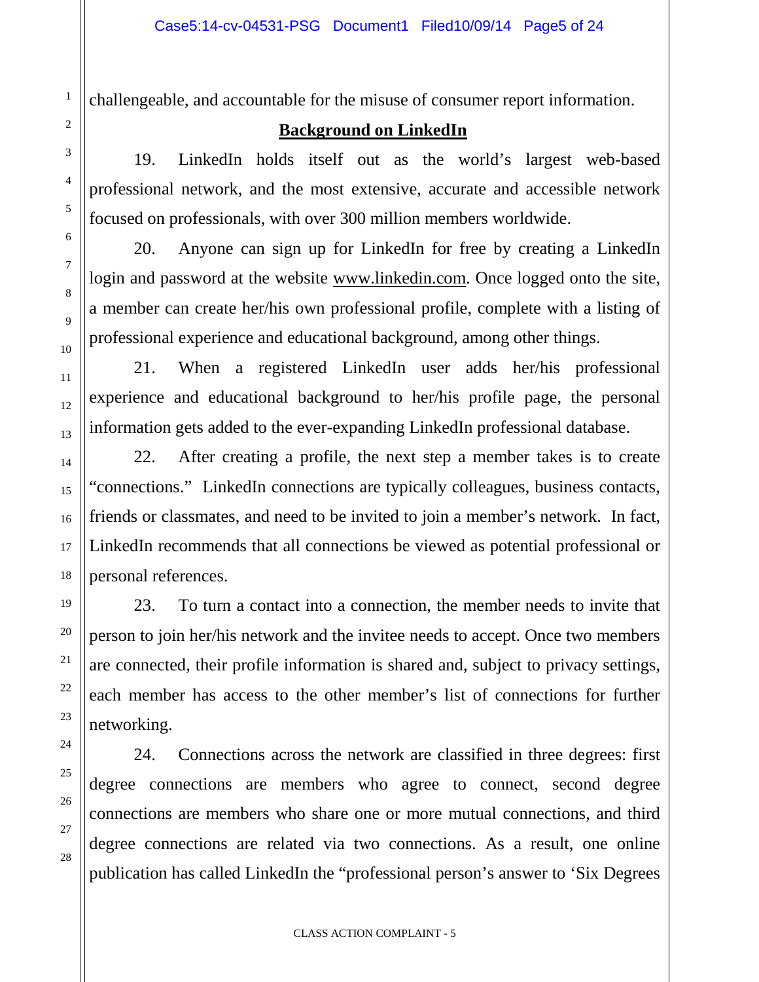challengeable, and accountable for the misuse of consumer report information.

#### **Background on LinkedIn**

19. LinkedIn holds itself out as the world's largest web-based professional network, and the most extensive, accurate and accessible network focused on professionals, with over 300 million members worldwide.

20. Anyone can sign up for LinkedIn for free by creating a LinkedIn login and password at the website [www.linkedin.com.](http://www.linkedin.com/) Once logged onto the site, a member can create her/his own professional profile, complete with a listing of professional experience and educational background, among other things.

21. When a registered LinkedIn user adds her/his professional experience and educational background to her/his profile page, the personal information gets added to the ever-expanding LinkedIn professional database.

22. After creating a profile, the next step a member takes is to create "connections." LinkedIn connections are typically colleagues, business contacts, friends or classmates, and need to be invited to join a member's network. In fact, LinkedIn recommends that all connections be viewed as potential professional or personal references.

23. To turn a contact into a connection, the member needs to invite that person to join her/his network and the invitee needs to accept. Once two members are connected, their profile information is shared and, subject to privacy settings, each member has access to the other member's list of connections for further networking.

24. Connections across the network are classified in three degrees: first degree connections are members who agree to connect, second degree connections are members who share one or more mutual connections, and third degree connections are related via two connections. As a result, one online publication has called LinkedIn the "professional person's answer to 'Six Degrees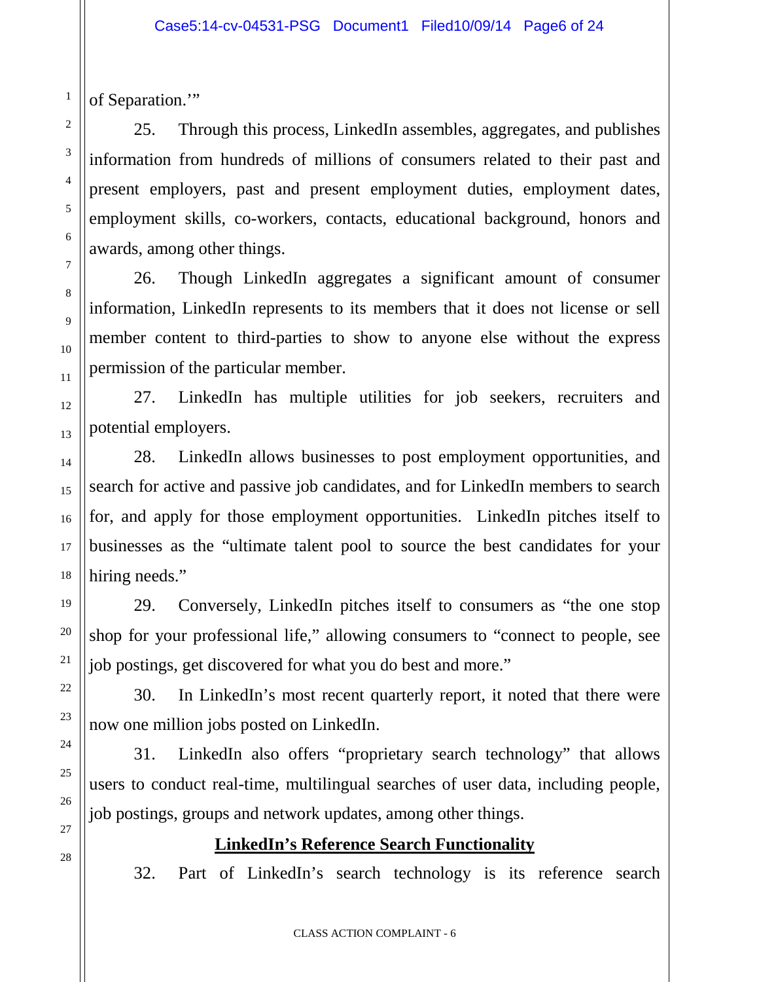of Separation."

1

2

3

4

5

6

7

8

9

10

11

12

13

14

15

16

17

18

19

20

21

22

23

24

25

26

27

28

25. Through this process, LinkedIn assembles, aggregates, and publishes information from hundreds of millions of consumers related to their past and present employers, past and present employment duties, employment dates, employment skills, co-workers, contacts, educational background, honors and awards, among other things.

26. Though LinkedIn aggregates a significant amount of consumer information, LinkedIn represents to its members that it does not license or sell member content to third-parties to show to anyone else without the express permission of the particular member.

27. LinkedIn has multiple utilities for job seekers, recruiters and potential employers.

28. LinkedIn allows businesses to post employment opportunities, and search for active and passive job candidates, and for LinkedIn members to search for, and apply for those employment opportunities. LinkedIn pitches itself to businesses as the "ultimate talent pool to source the best candidates for your hiring needs."

29. Conversely, LinkedIn pitches itself to consumers as "the one stop shop for your professional life," allowing consumers to "connect to people, see job postings, get discovered for what you do best and more."

30. In LinkedIn's most recent quarterly report, it noted that there were now one million jobs posted on LinkedIn.

31. LinkedIn also offers "proprietary search technology" that allows users to conduct real-time, multilingual searches of user data, including people, job postings, groups and network updates, among other things.

## **LinkedIn's Reference Search Functionality**

32. Part of LinkedIn's search technology is its reference search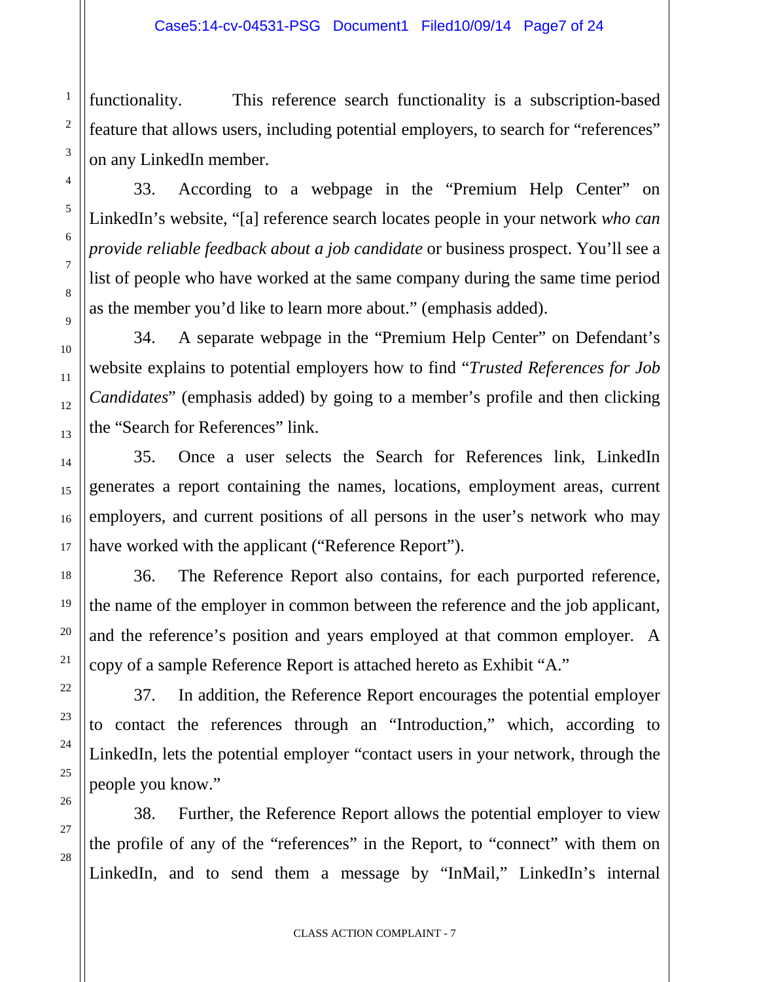functionality. This reference search functionality is a subscription-based feature that allows users, including potential employers, to search for "references" on any LinkedIn member.

1

2

3

4

5

6

7

8

9

10

11

12

13

14

15

16

17

18

19

20

21

22

23

24

25

26

27

28

33. According to a webpage in the "Premium Help Center" on LinkedIn's website, "[a] reference search locates people in your network *who can provide reliable feedback about a job candidate* or business prospect. You'll see a list of people who have worked at the same company during the same time period as the member you'd like to learn more about." (emphasis added).

34. A separate webpage in the "Premium Help Center" on Defendant's website explains to potential employers how to find "*Trusted References for Job Candidates*" (emphasis added) by going to a member's profile and then clicking the "Search for References" link.

35. Once a user selects the Search for References link, LinkedIn generates a report containing the names, locations, employment areas, current employers, and current positions of all persons in the user's network who may have worked with the applicant ("Reference Report").

36. The Reference Report also contains, for each purported reference, the name of the employer in common between the reference and the job applicant, and the reference's position and years employed at that common employer. A copy of a sample Reference Report is attached hereto as Exhibit "A."

37. In addition, the Reference Report encourages the potential employer to contact the references through an "Introduction," which, according to LinkedIn, lets the potential employer "contact users in your network, through the people you know."

38. Further, the Reference Report allows the potential employer to view the profile of any of the "references" in the Report, to "connect" with them on LinkedIn, and to send them a message by "InMail," LinkedIn's internal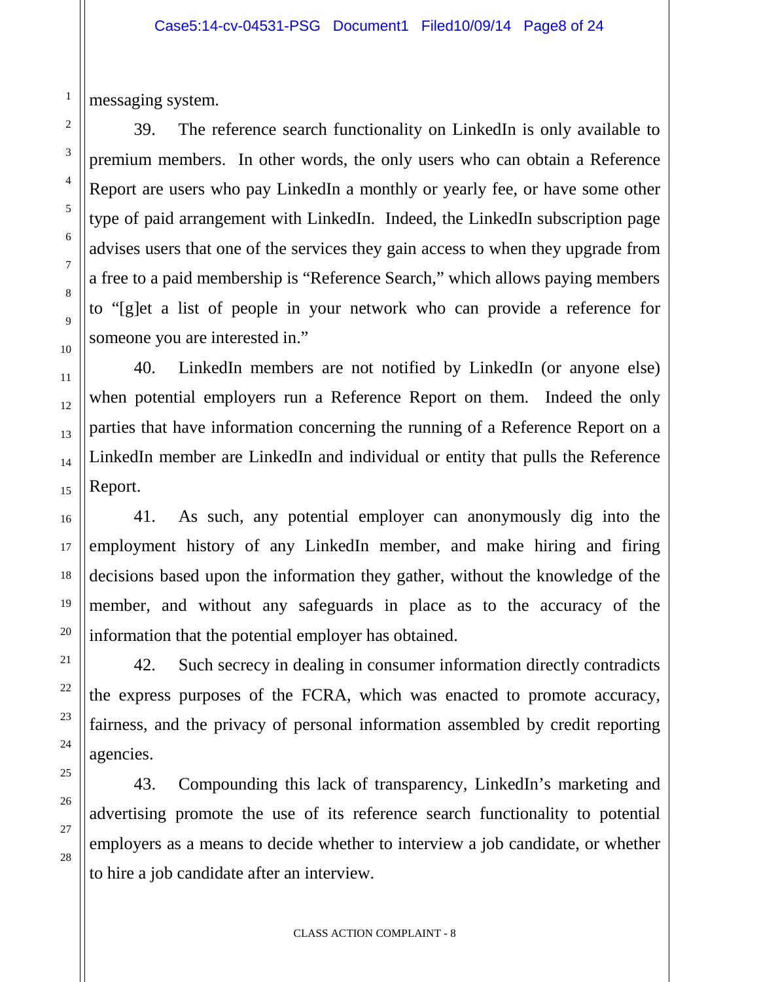messaging system.

1

2

3

4

5

39. The reference search functionality on LinkedIn is only available to premium members. In other words, the only users who can obtain a Reference Report are users who pay LinkedIn a monthly or yearly fee, or have some other type of paid arrangement with LinkedIn. Indeed, the LinkedIn subscription page advises users that one of the services they gain access to when they upgrade from a free to a paid membership is "Reference Search," which allows paying members to "[g]et a list of people in your network who can provide a reference for someone you are interested in."

40. LinkedIn members are not notified by LinkedIn (or anyone else) when potential employers run a Reference Report on them. Indeed the only parties that have information concerning the running of a Reference Report on a LinkedIn member are LinkedIn and individual or entity that pulls the Reference Report.

41. As such, any potential employer can anonymously dig into the employment history of any LinkedIn member, and make hiring and firing decisions based upon the information they gather, without the knowledge of the member, and without any safeguards in place as to the accuracy of the information that the potential employer has obtained.

42. Such secrecy in dealing in consumer information directly contradicts the express purposes of the FCRA, which was enacted to promote accuracy, fairness, and the privacy of personal information assembled by credit reporting agencies.

43. Compounding this lack of transparency, LinkedIn's marketing and advertising promote the use of its reference search functionality to potential employers as a means to decide whether to interview a job candidate, or whether to hire a job candidate after an interview.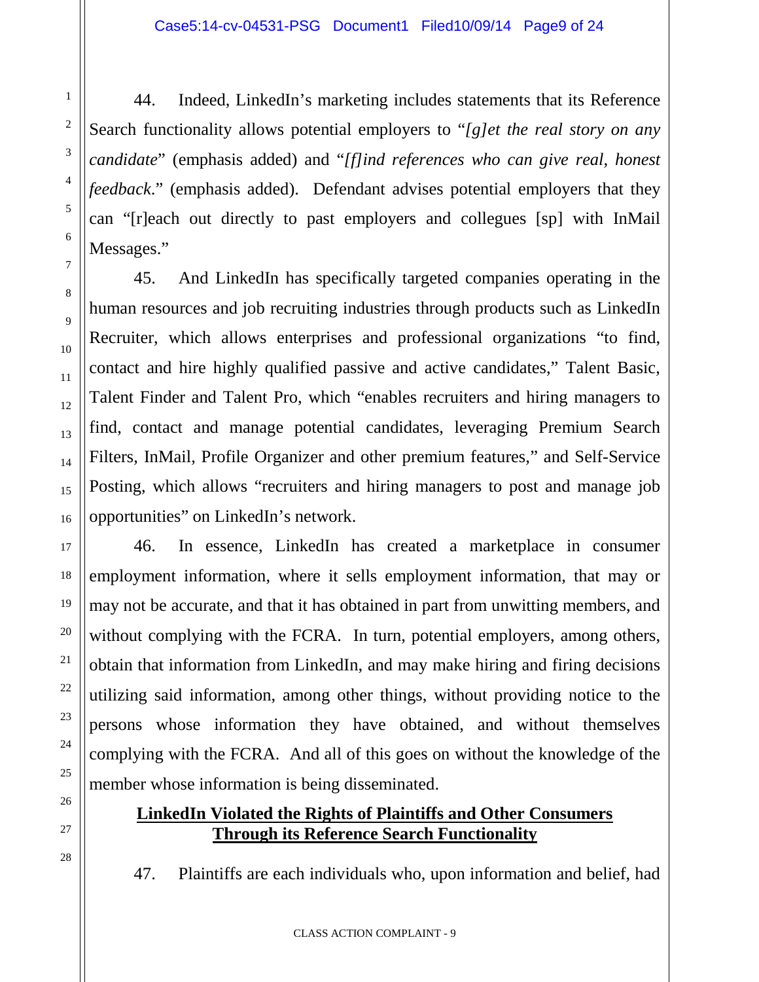44. Indeed, LinkedIn's marketing includes statements that its Reference Search functionality allows potential employers to "*[g]et the real story on any candidate*" (emphasis added) and "*[f]ind references who can give real, honest feedback*." (emphasis added). Defendant advises potential employers that they can "[r]each out directly to past employers and collegues [sp] with InMail Messages."

45. And LinkedIn has specifically targeted companies operating in the human resources and job recruiting industries through products such as LinkedIn Recruiter, which allows enterprises and professional organizations "to find, contact and hire highly qualified passive and active candidates," Talent Basic, Talent Finder and Talent Pro, which "enables recruiters and hiring managers to find, contact and manage potential candidates, leveraging Premium Search Filters, InMail, Profile Organizer and other premium features," and Self-Service Posting, which allows "recruiters and hiring managers to post and manage job opportunities" on LinkedIn's network.

46. In essence, LinkedIn has created a marketplace in consumer employment information, where it sells employment information, that may or may not be accurate, and that it has obtained in part from unwitting members, and without complying with the FCRA. In turn, potential employers, among others, obtain that information from LinkedIn, and may make hiring and firing decisions utilizing said information, among other things, without providing notice to the persons whose information they have obtained, and without themselves complying with the FCRA. And all of this goes on without the knowledge of the member whose information is being disseminated.

## **LinkedIn Violated the Rights of Plaintiffs and Other Consumers Through its Reference Search Functionality**

47. Plaintiffs are each individuals who, upon information and belief, had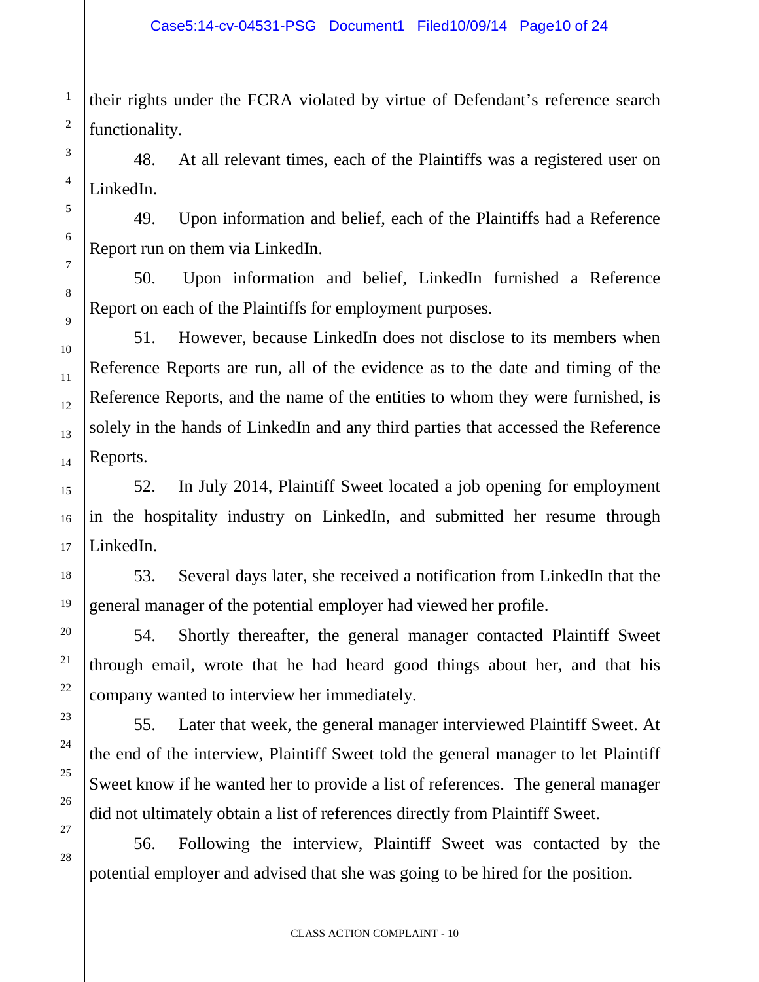their rights under the FCRA violated by virtue of Defendant's reference search functionality.

1

2

3

4

5

6

7

8

9

10

11

12

13

14

15

16

17

18

19

20

21

22

23

24

25

26

27

28

48. At all relevant times, each of the Plaintiffs was a registered user on LinkedIn.

49. Upon information and belief, each of the Plaintiffs had a Reference Report run on them via LinkedIn.

50. Upon information and belief, LinkedIn furnished a Reference Report on each of the Plaintiffs for employment purposes.

51. However, because LinkedIn does not disclose to its members when Reference Reports are run, all of the evidence as to the date and timing of the Reference Reports, and the name of the entities to whom they were furnished, is solely in the hands of LinkedIn and any third parties that accessed the Reference Reports.

52. In July 2014, Plaintiff Sweet located a job opening for employment in the hospitality industry on LinkedIn, and submitted her resume through LinkedIn.

53. Several days later, she received a notification from LinkedIn that the general manager of the potential employer had viewed her profile.

54. Shortly thereafter, the general manager contacted Plaintiff Sweet through email, wrote that he had heard good things about her, and that his company wanted to interview her immediately.

55. Later that week, the general manager interviewed Plaintiff Sweet. At the end of the interview, Plaintiff Sweet told the general manager to let Plaintiff Sweet know if he wanted her to provide a list of references. The general manager did not ultimately obtain a list of references directly from Plaintiff Sweet.

56. Following the interview, Plaintiff Sweet was contacted by the potential employer and advised that she was going to be hired for the position.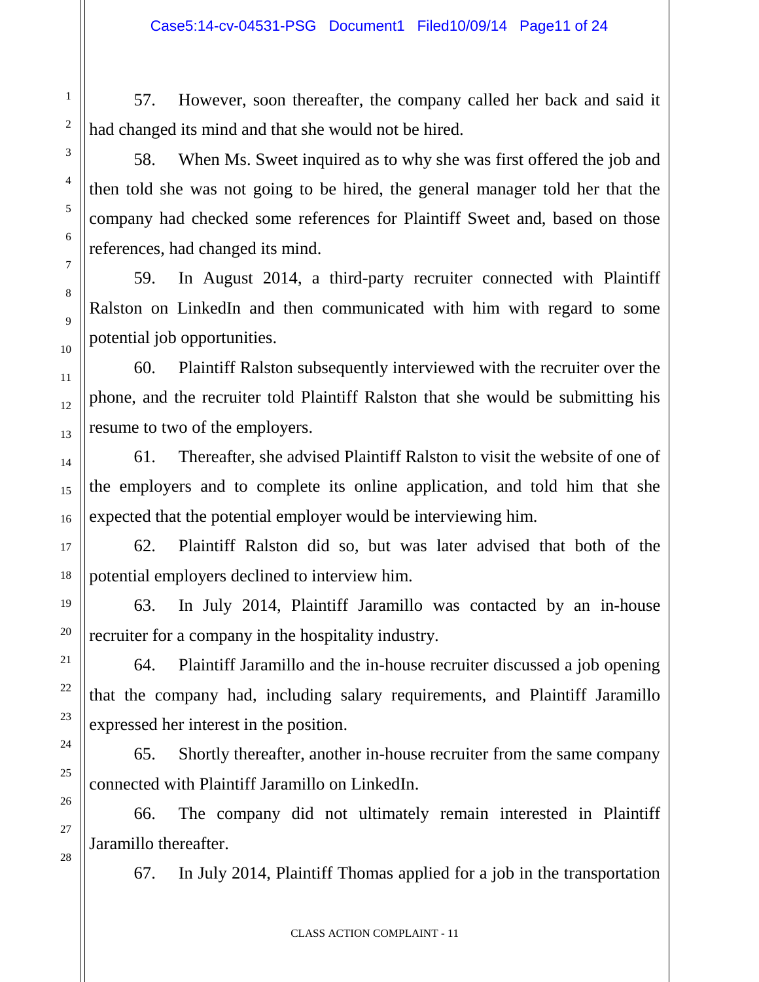57. However, soon thereafter, the company called her back and said it had changed its mind and that she would not be hired.

58. When Ms. Sweet inquired as to why she was first offered the job and then told she was not going to be hired, the general manager told her that the company had checked some references for Plaintiff Sweet and, based on those references, had changed its mind.

59. In August 2014, a third-party recruiter connected with Plaintiff Ralston on LinkedIn and then communicated with him with regard to some potential job opportunities.

60. Plaintiff Ralston subsequently interviewed with the recruiter over the phone, and the recruiter told Plaintiff Ralston that she would be submitting his resume to two of the employers.

61. Thereafter, she advised Plaintiff Ralston to visit the website of one of the employers and to complete its online application, and told him that she expected that the potential employer would be interviewing him.

62. Plaintiff Ralston did so, but was later advised that both of the potential employers declined to interview him.

63. In July 2014, Plaintiff Jaramillo was contacted by an in-house recruiter for a company in the hospitality industry.

64. Plaintiff Jaramillo and the in-house recruiter discussed a job opening that the company had, including salary requirements, and Plaintiff Jaramillo expressed her interest in the position.

65. Shortly thereafter, another in-house recruiter from the same company connected with Plaintiff Jaramillo on LinkedIn.

66. The company did not ultimately remain interested in Plaintiff Jaramillo thereafter.

67. In July 2014, Plaintiff Thomas applied for a job in the transportation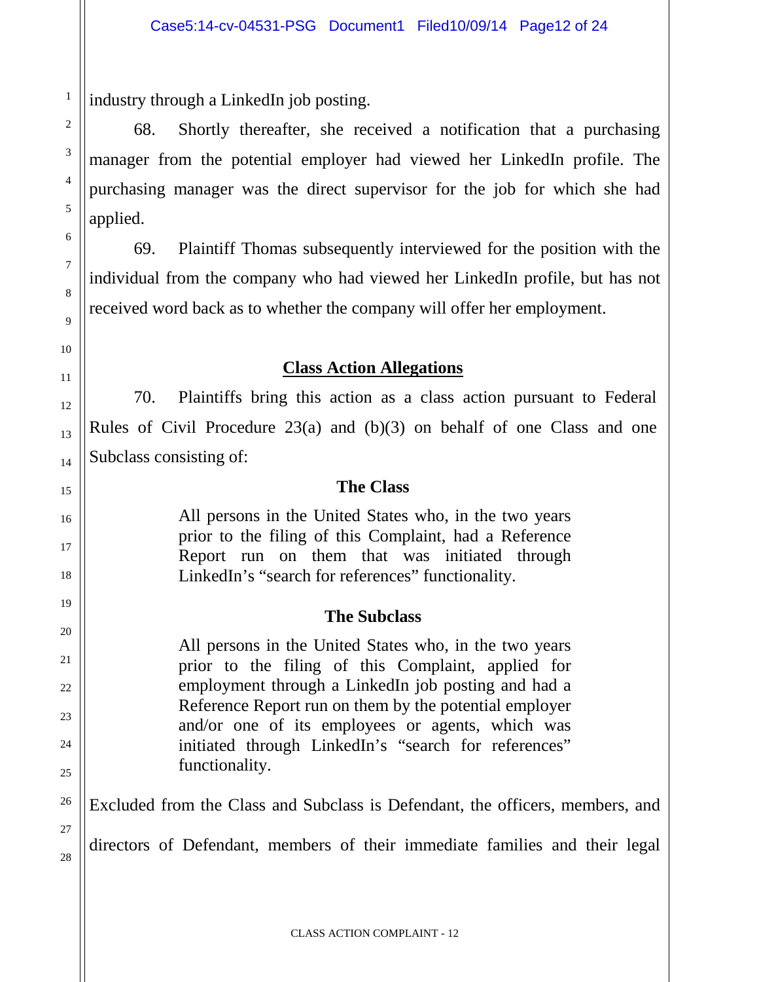industry through a LinkedIn job posting.

68. Shortly thereafter, she received a notification that a purchasing manager from the potential employer had viewed her LinkedIn profile. The purchasing manager was the direct supervisor for the job for which she had applied.

69. Plaintiff Thomas subsequently interviewed for the position with the individual from the company who had viewed her LinkedIn profile, but has not received word back as to whether the company will offer her employment.

#### **Class Action Allegations**

70. Plaintiffs bring this action as a class action pursuant to Federal Rules of Civil Procedure 23(a) and (b)(3) on behalf of one Class and one Subclass consisting of:

#### **The Class**

All persons in the United States who, in the two years prior to the filing of this Complaint, had a Reference Report run on them that was initiated through LinkedIn's "search for references" functionality.

#### **The Subclass**

All persons in the United States who, in the two years prior to the filing of this Complaint, applied for employment through a LinkedIn job posting and had a Reference Report run on them by the potential employer and/or one of its employees or agents, which was initiated through LinkedIn's "search for references" functionality.

Excluded from the Class and Subclass is Defendant, the officers, members, and

directors of Defendant, members of their immediate families and their legal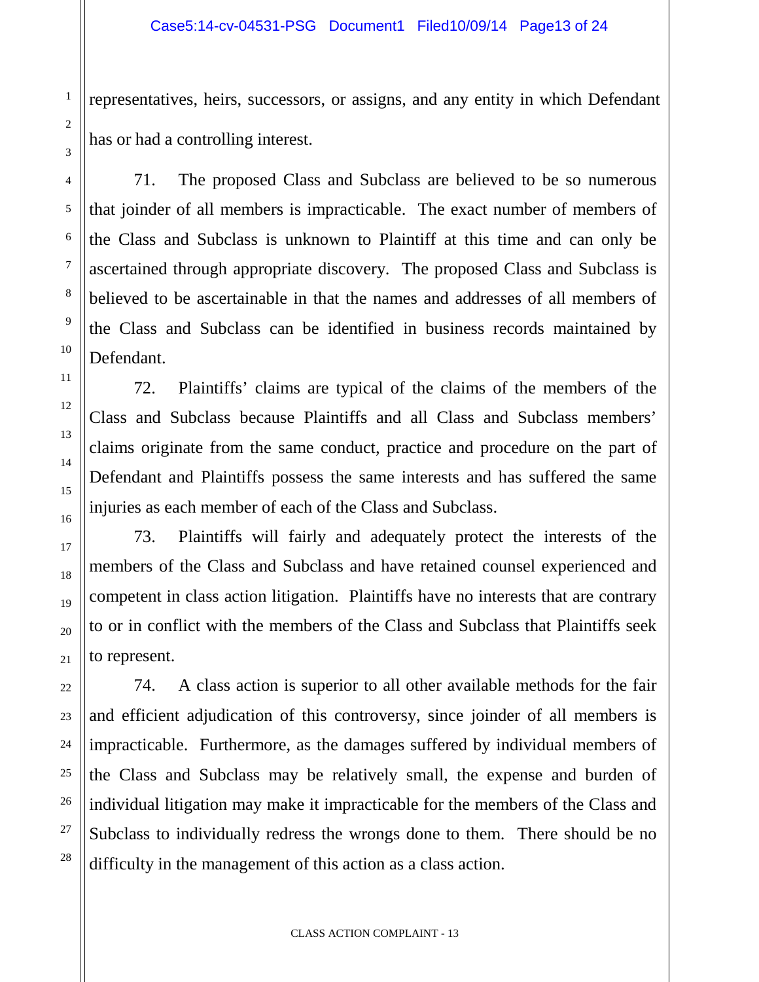representatives, heirs, successors, or assigns, and any entity in which Defendant has or had a controlling interest.

71. The proposed Class and Subclass are believed to be so numerous that joinder of all members is impracticable. The exact number of members of the Class and Subclass is unknown to Plaintiff at this time and can only be ascertained through appropriate discovery. The proposed Class and Subclass is believed to be ascertainable in that the names and addresses of all members of the Class and Subclass can be identified in business records maintained by Defendant.

72. Plaintiffs' claims are typical of the claims of the members of the Class and Subclass because Plaintiffs and all Class and Subclass members' claims originate from the same conduct, practice and procedure on the part of Defendant and Plaintiffs possess the same interests and has suffered the same injuries as each member of each of the Class and Subclass.

73. Plaintiffs will fairly and adequately protect the interests of the members of the Class and Subclass and have retained counsel experienced and competent in class action litigation. Plaintiffs have no interests that are contrary to or in conflict with the members of the Class and Subclass that Plaintiffs seek to represent.

74. A class action is superior to all other available methods for the fair and efficient adjudication of this controversy, since joinder of all members is impracticable. Furthermore, as the damages suffered by individual members of the Class and Subclass may be relatively small, the expense and burden of individual litigation may make it impracticable for the members of the Class and Subclass to individually redress the wrongs done to them. There should be no difficulty in the management of this action as a class action.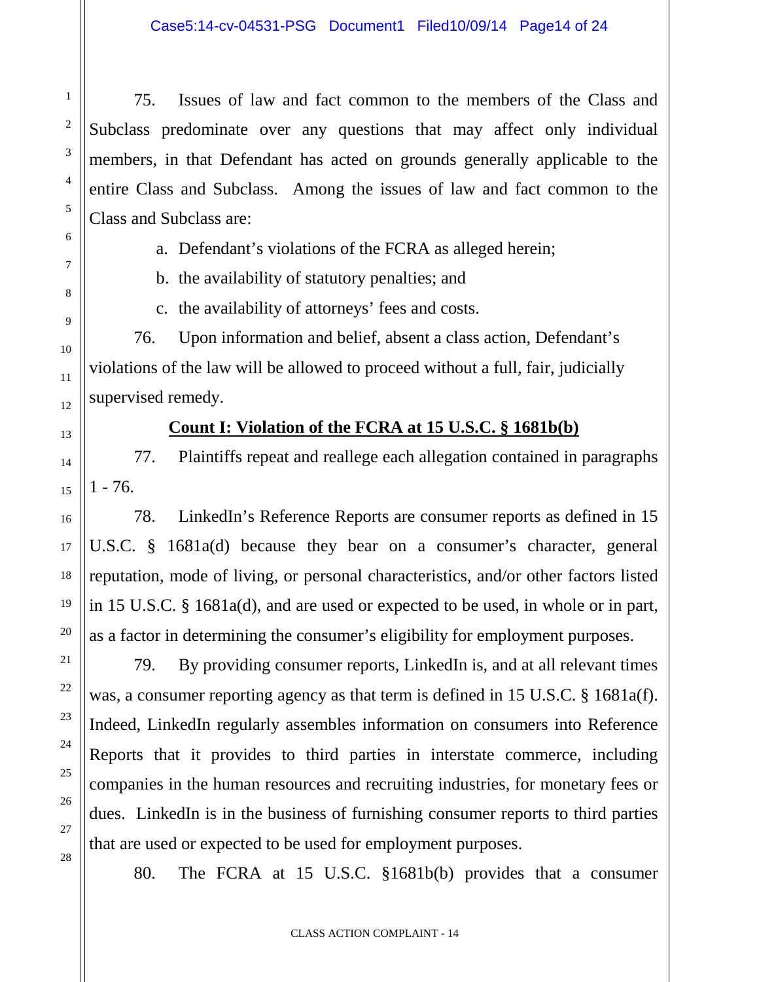75. Issues of law and fact common to the members of the Class and Subclass predominate over any questions that may affect only individual members, in that Defendant has acted on grounds generally applicable to the entire Class and Subclass. Among the issues of law and fact common to the Class and Subclass are:

a. Defendant's violations of the FCRA as alleged herein;

b. the availability of statutory penalties; and

c. the availability of attorneys' fees and costs.

76. Upon information and belief, absent a class action, Defendant's violations of the law will be allowed to proceed without a full, fair, judicially supervised remedy.

## **Count I: Violation of the FCRA at 15 U.S.C. § 1681b(b)**

77. Plaintiffs repeat and reallege each allegation contained in paragraphs  $1 - 76.$ 

78. LinkedIn's Reference Reports are consumer reports as defined in 15 U.S.C. § 1681a(d) because they bear on a consumer's character, general reputation, mode of living, or personal characteristics, and/or other factors listed in 15 U.S.C. § 1681a(d), and are used or expected to be used, in whole or in part, as a factor in determining the consumer's eligibility for employment purposes.

79. By providing consumer reports, LinkedIn is, and at all relevant times was, a consumer reporting agency as that term is defined in 15 U.S.C. § 1681a(f). Indeed, LinkedIn regularly assembles information on consumers into Reference Reports that it provides to third parties in interstate commerce, including companies in the human resources and recruiting industries, for monetary fees or dues. LinkedIn is in the business of furnishing consumer reports to third parties that are used or expected to be used for employment purposes.

80. The FCRA at 15 U.S.C. §1681b(b) provides that a consumer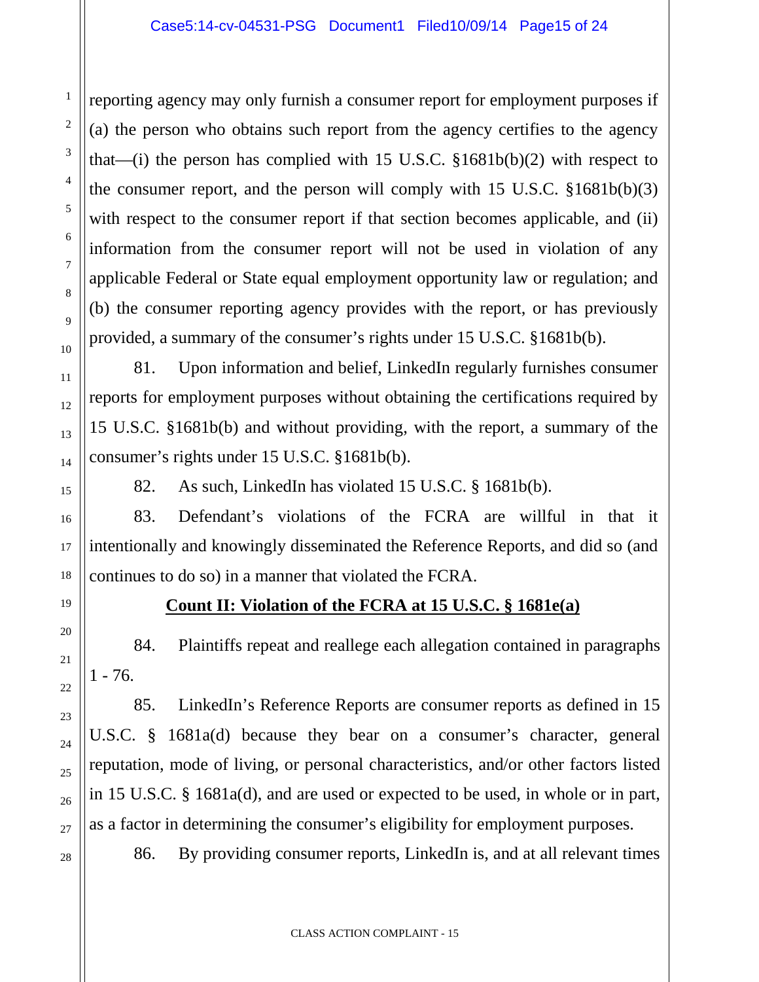reporting agency may only furnish a consumer report for employment purposes if (a) the person who obtains such report from the agency certifies to the agency that—(i) the person has complied with 15 U.S.C.  $$1681b(b)(2)$  with respect to the consumer report, and the person will comply with 15 U.S.C.  $$1681b(b)(3)$ with respect to the consumer report if that section becomes applicable, and (ii) information from the consumer report will not be used in violation of any applicable Federal or State equal employment opportunity law or regulation; and (b) the consumer reporting agency provides with the report, or has previously provided, a summary of the consumer's rights under 15 U.S.C. §1681b(b).

81. Upon information and belief, LinkedIn regularly furnishes consumer reports for employment purposes without obtaining the certifications required by 15 U.S.C. §1681b(b) and without providing, with the report, a summary of the consumer's rights under 15 U.S.C. §1681b(b).

82. As such, LinkedIn has violated 15 U.S.C. § 1681b(b).

83. Defendant's violations of the FCRA are willful in that it intentionally and knowingly disseminated the Reference Reports, and did so (and continues to do so) in a manner that violated the FCRA.

# **Count II: Violation of the FCRA at 15 U.S.C. § 1681e(a)**

84. Plaintiffs repeat and reallege each allegation contained in paragraphs  $1 - 76.$ 

85. LinkedIn's Reference Reports are consumer reports as defined in 15 U.S.C. § 1681a(d) because they bear on a consumer's character, general reputation, mode of living, or personal characteristics, and/or other factors listed in 15 U.S.C. § 1681a(d), and are used or expected to be used, in whole or in part, as a factor in determining the consumer's eligibility for employment purposes.

86. By providing consumer reports, LinkedIn is, and at all relevant times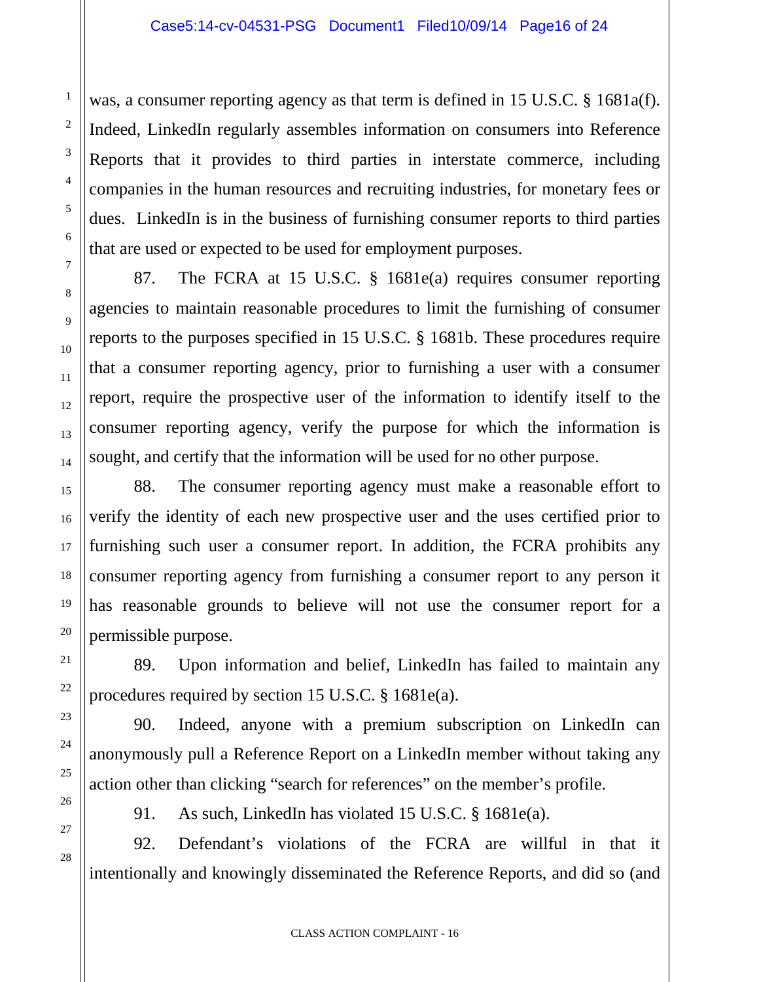was, a consumer reporting agency as that term is defined in 15 U.S.C. § 1681a(f). Indeed, LinkedIn regularly assembles information on consumers into Reference Reports that it provides to third parties in interstate commerce, including companies in the human resources and recruiting industries, for monetary fees or dues. LinkedIn is in the business of furnishing consumer reports to third parties that are used or expected to be used for employment purposes.

87. The FCRA at 15 U.S.C. § 1681e(a) requires consumer reporting agencies to maintain reasonable procedures to limit the furnishing of consumer reports to the purposes specified in 15 U.S.C. § 1681b. These procedures require that a consumer reporting agency, prior to furnishing a user with a consumer report, require the prospective user of the information to identify itself to the consumer reporting agency, verify the purpose for which the information is sought, and certify that the information will be used for no other purpose.

88. The consumer reporting agency must make a reasonable effort to verify the identity of each new prospective user and the uses certified prior to furnishing such user a consumer report. In addition, the FCRA prohibits any consumer reporting agency from furnishing a consumer report to any person it has reasonable grounds to believe will not use the consumer report for a permissible purpose.

89. Upon information and belief, LinkedIn has failed to maintain any procedures required by section 15 U.S.C. § 1681e(a).

90. Indeed, anyone with a premium subscription on LinkedIn can anonymously pull a Reference Report on a LinkedIn member without taking any action other than clicking "search for references" on the member's profile.

1

2

3

4

5

6

7

8

9

10

11

12

13

14

15

16

17

18

19

20

21

22

23

24

25

26

27

28

91. As such, LinkedIn has violated 15 U.S.C. § 1681e(a).

92. Defendant's violations of the FCRA are willful in that it intentionally and knowingly disseminated the Reference Reports, and did so (and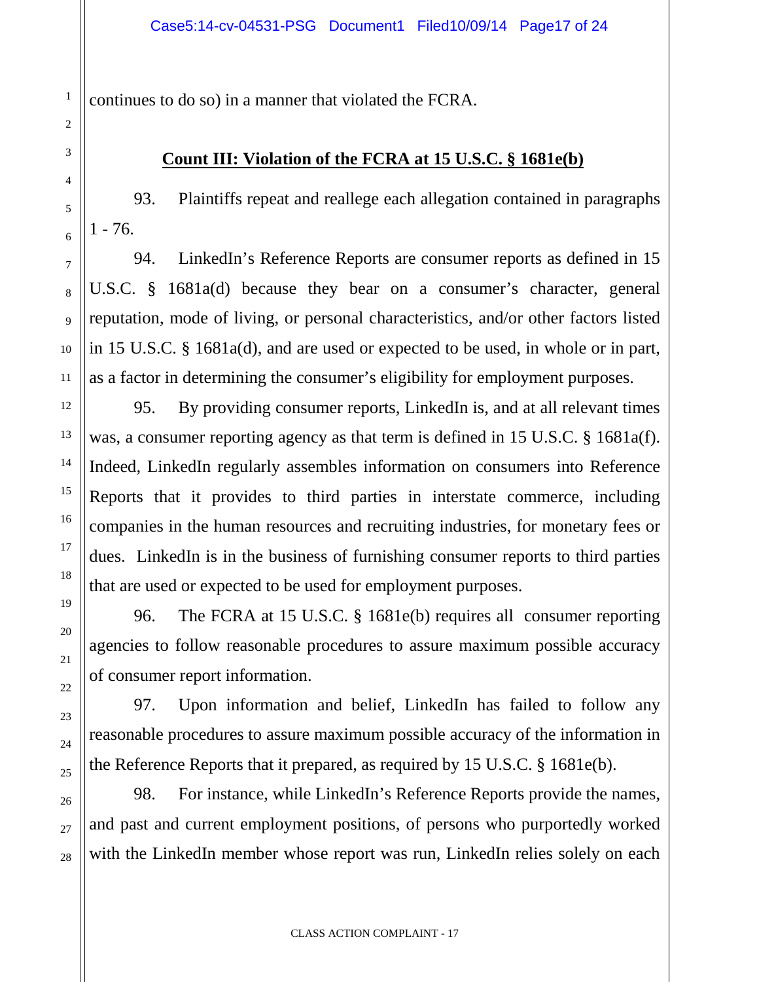continues to do so) in a manner that violated the FCRA.

## **Count III: Violation of the FCRA at 15 U.S.C. § 1681e(b)**

93. Plaintiffs repeat and reallege each allegation contained in paragraphs  $1 - 76.$ 

94. LinkedIn's Reference Reports are consumer reports as defined in 15 U.S.C. § 1681a(d) because they bear on a consumer's character, general reputation, mode of living, or personal characteristics, and/or other factors listed in 15 U.S.C. § 1681a(d), and are used or expected to be used, in whole or in part, as a factor in determining the consumer's eligibility for employment purposes.

95. By providing consumer reports, LinkedIn is, and at all relevant times was, a consumer reporting agency as that term is defined in 15 U.S.C. § 1681a(f). Indeed, LinkedIn regularly assembles information on consumers into Reference Reports that it provides to third parties in interstate commerce, including companies in the human resources and recruiting industries, for monetary fees or dues. LinkedIn is in the business of furnishing consumer reports to third parties that are used or expected to be used for employment purposes.

96. The FCRA at 15 U.S.C. § 1681e(b) requires all consumer reporting agencies to follow reasonable procedures to assure maximum possible accuracy of consumer report information.

97. Upon information and belief, LinkedIn has failed to follow any reasonable procedures to assure maximum possible accuracy of the information in the Reference Reports that it prepared, as required by 15 U.S.C. § 1681e(b).

98. For instance, while LinkedIn's Reference Reports provide the names, and past and current employment positions, of persons who purportedly worked with the LinkedIn member whose report was run, LinkedIn relies solely on each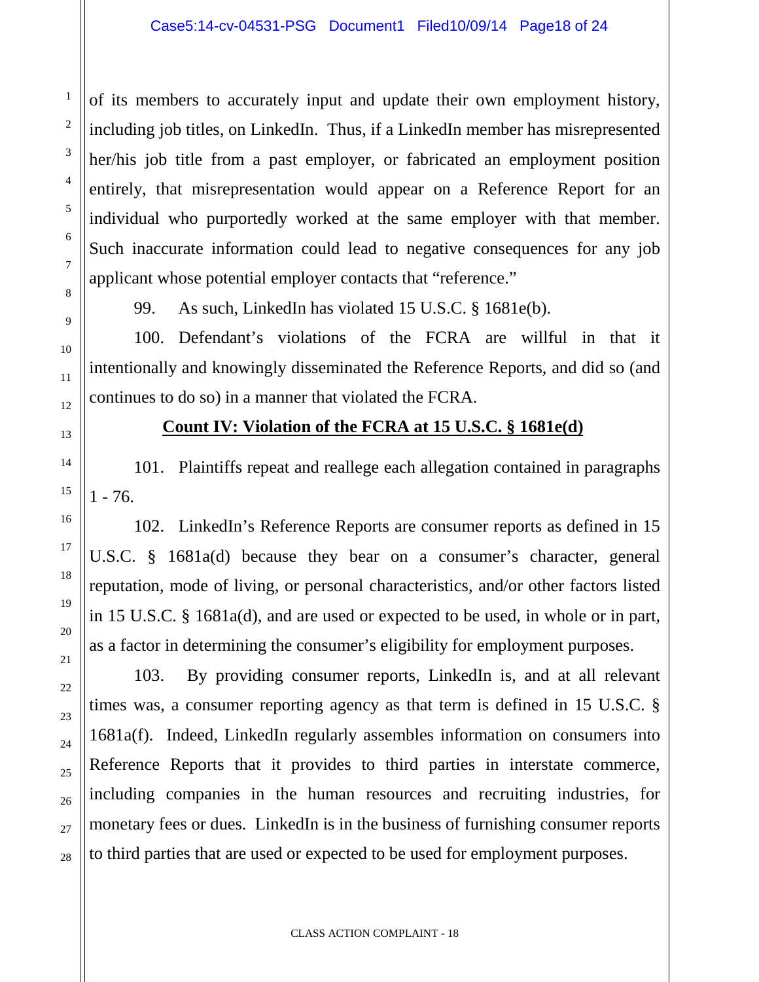of its members to accurately input and update their own employment history, including job titles, on LinkedIn. Thus, if a LinkedIn member has misrepresented her/his job title from a past employer, or fabricated an employment position entirely, that misrepresentation would appear on a Reference Report for an individual who purportedly worked at the same employer with that member. Such inaccurate information could lead to negative consequences for any job applicant whose potential employer contacts that "reference."

99. As such, LinkedIn has violated 15 U.S.C. § 1681e(b).

100. Defendant's violations of the FCRA are willful in that it intentionally and knowingly disseminated the Reference Reports, and did so (and continues to do so) in a manner that violated the FCRA.

#### **Count IV: Violation of the FCRA at 15 U.S.C. § 1681e(d)**

101. Plaintiffs repeat and reallege each allegation contained in paragraphs  $1 - 76.$ 

102. LinkedIn's Reference Reports are consumer reports as defined in 15 U.S.C. § 1681a(d) because they bear on a consumer's character, general reputation, mode of living, or personal characteristics, and/or other factors listed in 15 U.S.C. § 1681a(d), and are used or expected to be used, in whole or in part, as a factor in determining the consumer's eligibility for employment purposes.

103. By providing consumer reports, LinkedIn is, and at all relevant times was, a consumer reporting agency as that term is defined in 15 U.S.C. § 1681a(f). Indeed, LinkedIn regularly assembles information on consumers into Reference Reports that it provides to third parties in interstate commerce, including companies in the human resources and recruiting industries, for monetary fees or dues. LinkedIn is in the business of furnishing consumer reports to third parties that are used or expected to be used for employment purposes.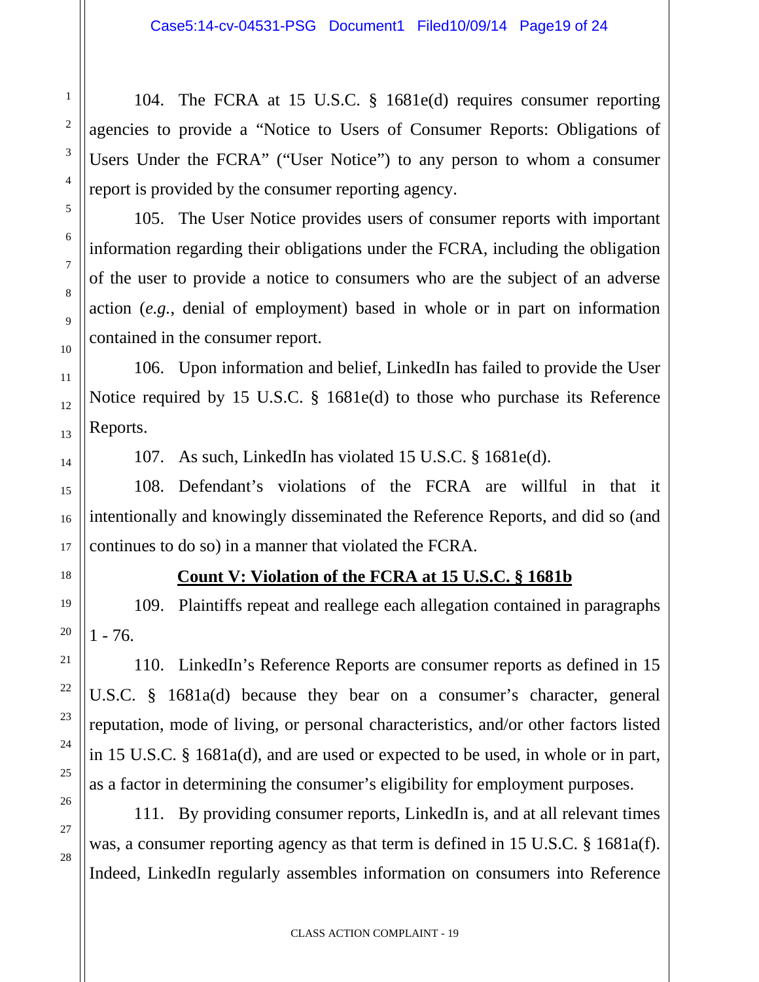104. The FCRA at 15 U.S.C. § 1681e(d) requires consumer reporting agencies to provide a "Notice to Users of Consumer Reports: Obligations of Users Under the FCRA" ("User Notice") to any person to whom a consumer report is provided by the consumer reporting agency.

105. The User Notice provides users of consumer reports with important information regarding their obligations under the FCRA, including the obligation of the user to provide a notice to consumers who are the subject of an adverse action (*e.g.*, denial of employment) based in whole or in part on information contained in the consumer report.

106. Upon information and belief, LinkedIn has failed to provide the User Notice required by 15 U.S.C. § 1681e(d) to those who purchase its Reference Reports.

107. As such, LinkedIn has violated 15 U.S.C. § 1681e(d).

108. Defendant's violations of the FCRA are willful in that it intentionally and knowingly disseminated the Reference Reports, and did so (and continues to do so) in a manner that violated the FCRA.

1

2

3

4

5

6

7

8

9

10

11

12

13

14

15

16

17

18

19

20

21

22

23

24

25

26

27

28

## **Count V: Violation of the FCRA at 15 U.S.C. § 1681b**

109. Plaintiffs repeat and reallege each allegation contained in paragraphs  $1 - 76.$ 

110. LinkedIn's Reference Reports are consumer reports as defined in 15 U.S.C. § 1681a(d) because they bear on a consumer's character, general reputation, mode of living, or personal characteristics, and/or other factors listed in 15 U.S.C. § 1681a(d), and are used or expected to be used, in whole or in part, as a factor in determining the consumer's eligibility for employment purposes.

111. By providing consumer reports, LinkedIn is, and at all relevant times was, a consumer reporting agency as that term is defined in 15 U.S.C. § 1681a(f). Indeed, LinkedIn regularly assembles information on consumers into Reference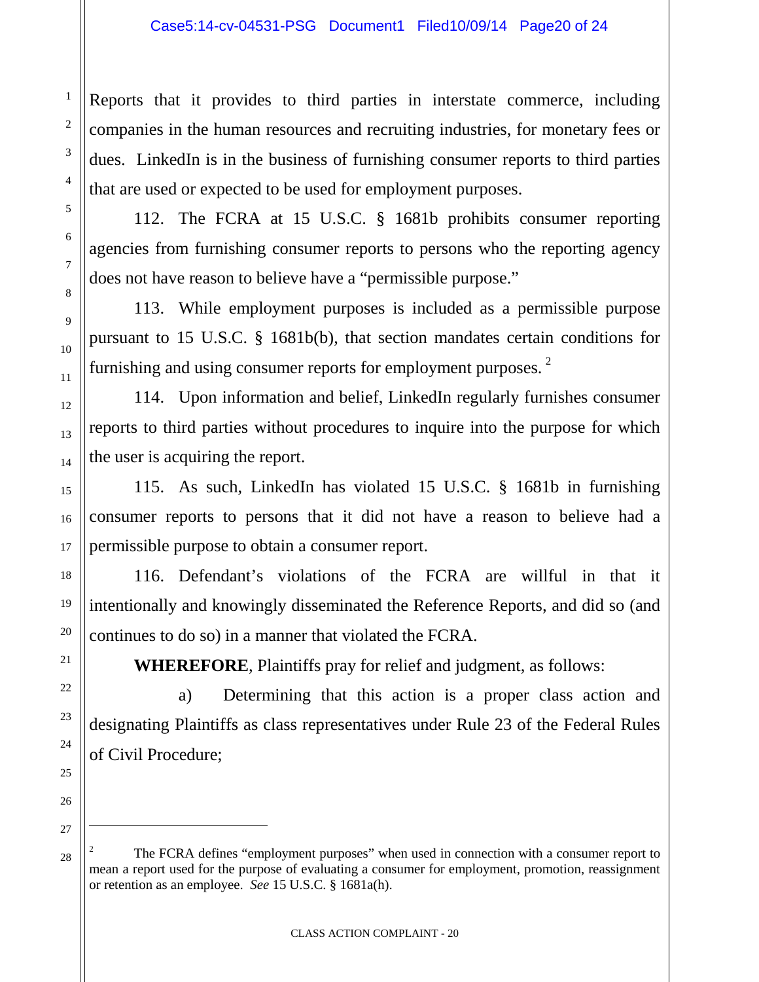Reports that it provides to third parties in interstate commerce, including companies in the human resources and recruiting industries, for monetary fees or dues. LinkedIn is in the business of furnishing consumer reports to third parties that are used or expected to be used for employment purposes.

112. The FCRA at 15 U.S.C. § 1681b prohibits consumer reporting agencies from furnishing consumer reports to persons who the reporting agency does not have reason to believe have a "permissible purpose."

113. While employment purposes is included as a permissible purpose pursuant to 15 U.S.C. § 1681b(b), that section mandates certain conditions for furnishing and using consumer reports for employment purposes.<sup>[2](#page-19-0)</sup>

114. Upon information and belief, LinkedIn regularly furnishes consumer reports to third parties without procedures to inquire into the purpose for which the user is acquiring the report.

115. As such, LinkedIn has violated 15 U.S.C. § 1681b in furnishing consumer reports to persons that it did not have a reason to believe had a permissible purpose to obtain a consumer report.

116. Defendant's violations of the FCRA are willful in that it intentionally and knowingly disseminated the Reference Reports, and did so (and continues to do so) in a manner that violated the FCRA.

**WHEREFORE**, Plaintiffs pray for relief and judgment, as follows:

a) Determining that this action is a proper class action and designating Plaintiffs as class representatives under Rule 23 of the Federal Rules of Civil Procedure;

1

2

3

4

5

6

7

8

9

10

11

12

13

14

15

16

17

18

19

20

21

22

23

24

25

26

<span id="page-19-0"></span>27

 $\overline{a}$ 

<sup>2</sup> The FCRA defines "employment purposes" when used in connection with a consumer report to mean a report used for the purpose of evaluating a consumer for employment, promotion, reassignment or retention as an employee. *See* 15 U.S.C. § 1681a(h).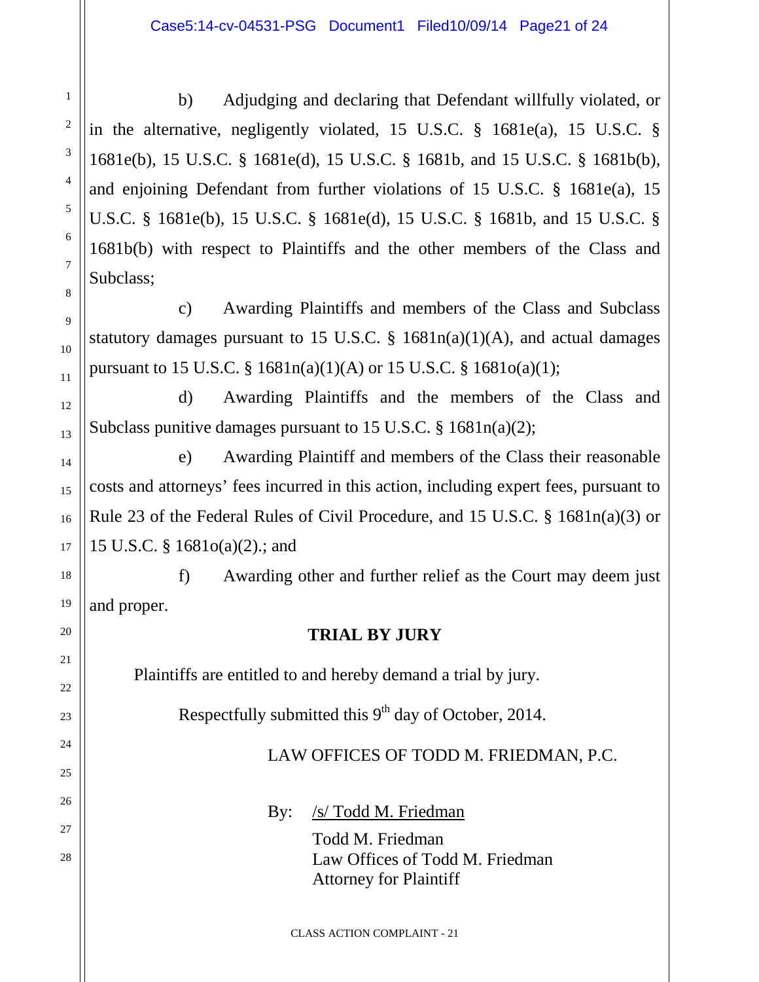b) Adjudging and declaring that Defendant willfully violated, or in the alternative, negligently violated, 15 U.S.C. § 1681e(a), 15 U.S.C. § 1681e(b), 15 U.S.C. § 1681e(d), 15 U.S.C. § 1681b, and 15 U.S.C. § 1681b(b), and enjoining Defendant from further violations of 15 U.S.C. § 1681e(a), 15 U.S.C. § 1681e(b), 15 U.S.C. § 1681e(d), 15 U.S.C. § 1681b, and 15 U.S.C. § 1681b(b) with respect to Plaintiffs and the other members of the Class and Subclass;

c) Awarding Plaintiffs and members of the Class and Subclass statutory damages pursuant to 15 U.S.C.  $\S$  1681n(a)(1)(A), and actual damages pursuant to 15 U.S.C. §  $1681n(a)(1)(A)$  or 15 U.S.C. §  $1681o(a)(1)$ ;

d) Awarding Plaintiffs and the members of the Class and Subclass punitive damages pursuant to 15 U.S.C. § 1681n(a)(2);

e) Awarding Plaintiff and members of the Class their reasonable costs and attorneys' fees incurred in this action, including expert fees, pursuant to Rule 23 of the Federal Rules of Civil Procedure, and 15 U.S.C. § 1681n(a)(3) or 15 U.S.C. § 1681o(a)(2).; and

f) Awarding other and further relief as the Court may deem just and proper.

## **TRIAL BY JURY**

Plaintiffs are entitled to and hereby demand a trial by jury.

Respectfully submitted this 9<sup>th</sup> day of October, 2014.

LAW OFFICES OF TODD M. FRIEDMAN, P.C.

By: /s/ Todd M. Friedman

Todd M. Friedman Law Offices of Todd M. Friedman Attorney for Plaintiff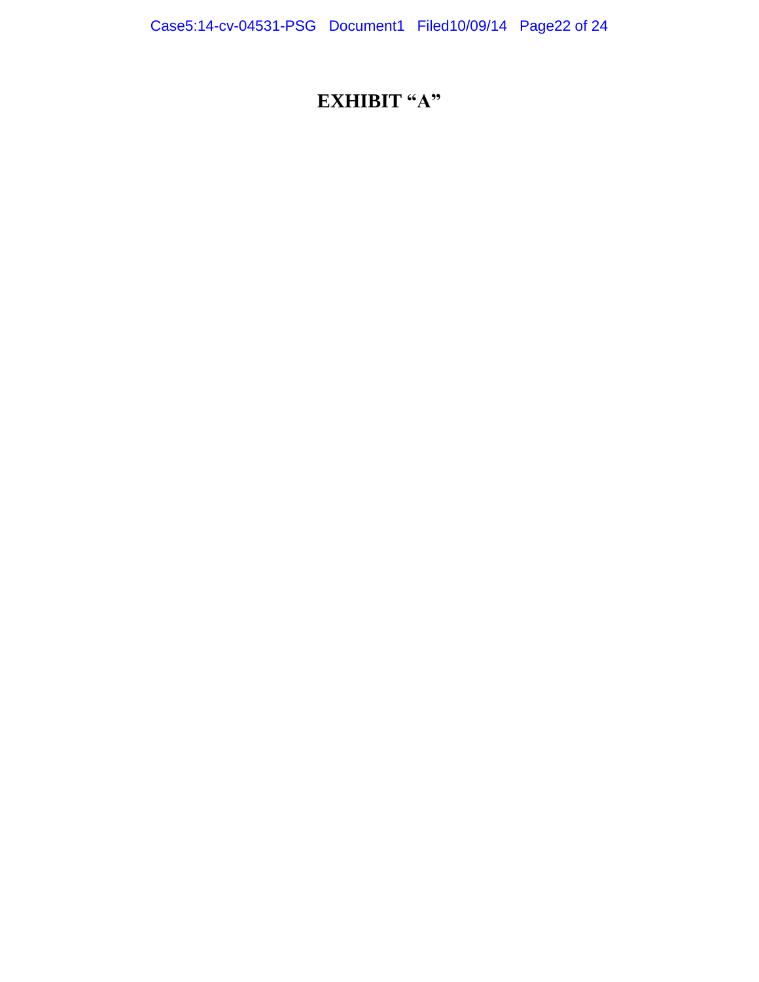# **EXHIBIT** "A"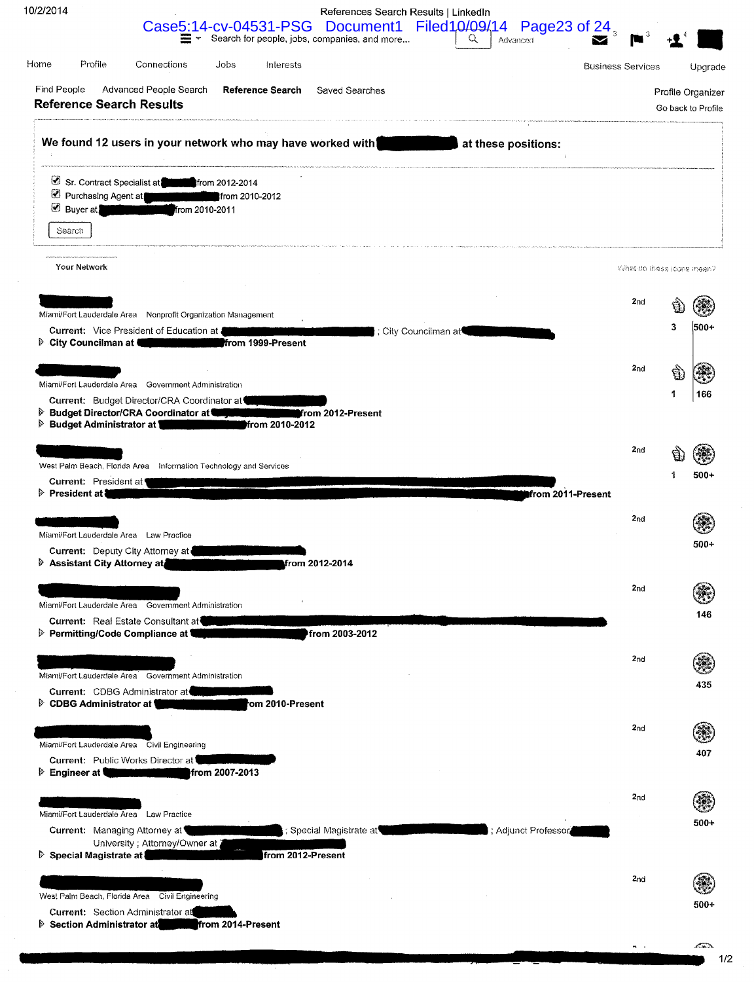| 0/2/2014                                       |                                                                                                                                                                                                                                                                                                                                            |                                                                   | References Search Results   LinkedIn |                                                                                                                     |                          |                           |                                         |
|------------------------------------------------|--------------------------------------------------------------------------------------------------------------------------------------------------------------------------------------------------------------------------------------------------------------------------------------------------------------------------------------------|-------------------------------------------------------------------|--------------------------------------|---------------------------------------------------------------------------------------------------------------------|--------------------------|---------------------------|-----------------------------------------|
|                                                |                                                                                                                                                                                                                                                                                                                                            |                                                                   |                                      | Case5:14-cv-04531-PSG Document1 Filed10/09/14 Page23 of 24,                                                         |                          |                           |                                         |
| Home<br>Profile                                | Connections                                                                                                                                                                                                                                                                                                                                | Jobs<br>Interests                                                 |                                      |                                                                                                                     | <b>Business Services</b> |                           | Upgrade                                 |
| Find People<br><b>Reference Search Results</b> | Advanced People Search                                                                                                                                                                                                                                                                                                                     | Reference Search Saved Searches                                   |                                      | .<br>1930 - Carlo Carlo Carlo Maria III a che montre composito in minimizi se seguimente compositori in minimizioni |                          |                           | Profile Organizer<br>Go back to Profile |
|                                                |                                                                                                                                                                                                                                                                                                                                            |                                                                   |                                      | We found 12 users in your network who may have worked with a state of these positions:                              |                          |                           |                                         |
| <b>Buyer</b> at                                | Sr. Contract Specialist at form 2012-2014<br>Purchasing Agent at <b>Community</b><br>from 2010-2011                                                                                                                                                                                                                                        | from 2010-2012                                                    |                                      |                                                                                                                     |                          |                           |                                         |
| Search                                         |                                                                                                                                                                                                                                                                                                                                            |                                                                   |                                      |                                                                                                                     |                          |                           |                                         |
| Your Network                                   |                                                                                                                                                                                                                                                                                                                                            |                                                                   |                                      |                                                                                                                     |                          | What do these icons mean? |                                         |
|                                                |                                                                                                                                                                                                                                                                                                                                            |                                                                   |                                      |                                                                                                                     | 2 <sub>nd</sub>          |                           |                                         |
|                                                | Miami/Fort Lauderdale Area Nonprofit Organization Management<br>Current: Vice President of Education at                                                                                                                                                                                                                                    | City Councilman at Councilman at Council Manual Prom 1999-Present | City Councilman at                   |                                                                                                                     |                          | 3                         | 500+                                    |
|                                                | Miami/Fort Lauderdale Area Government Administration                                                                                                                                                                                                                                                                                       |                                                                   |                                      |                                                                                                                     | 2 <sub>nd</sub>          | Ū.                        |                                         |
| ▶ Budget Administrator at 1                    | Current: Budget Director/CRA Coordinator at<br><b>Budget Director/CRA Coordinator at Community</b><br><u> The Company of the Company of the Company of the Company of the Company of the Company of the Company of the Company of the Company of the Company of the Company of the Company of the Company of the Company of the Compan</u> | from 2010-2012                                                    | from 2012-Present                    |                                                                                                                     |                          | 1                         | 166                                     |
|                                                | West Palm Beach, Florida Area Information Technology and Services                                                                                                                                                                                                                                                                          |                                                                   |                                      |                                                                                                                     | 2nd                      |                           |                                         |
| Current: President at<br>President at          |                                                                                                                                                                                                                                                                                                                                            |                                                                   |                                      |                                                                                                                     | from 2011-Present        |                           | 500+                                    |
|                                                |                                                                                                                                                                                                                                                                                                                                            |                                                                   |                                      |                                                                                                                     | 2 <sub>nd</sub>          |                           |                                         |
|                                                | Miami/Fort Lauderdale Area Law Practice<br>Current: Deputy City Attorney at                                                                                                                                                                                                                                                                |                                                                   |                                      |                                                                                                                     |                          |                           | 500+                                    |
| Assistant City Attorney at                     |                                                                                                                                                                                                                                                                                                                                            |                                                                   | from 2012-2014                       |                                                                                                                     |                          |                           |                                         |
|                                                | Miami/Fort Lauderdale Area Government Administration                                                                                                                                                                                                                                                                                       |                                                                   |                                      |                                                                                                                     | 2 <sub>nd</sub>          |                           |                                         |
|                                                | <b>Current: Real Estate Consultant at</b><br>▷ Permitting/Code Compliance at 1                                                                                                                                                                                                                                                             |                                                                   | from 2003-2012                       |                                                                                                                     |                          |                           | 146                                     |
|                                                |                                                                                                                                                                                                                                                                                                                                            |                                                                   |                                      |                                                                                                                     | 2 <sub>nd</sub>          |                           |                                         |
|                                                | Miami/Fort Lauderdale Area Government Administration<br>Current: CDBG Administrator at                                                                                                                                                                                                                                                     |                                                                   |                                      |                                                                                                                     |                          |                           | 435                                     |
| <b>▷ CDBG Administrator at 1</b>               |                                                                                                                                                                                                                                                                                                                                            | rom 2010-Present                                                  |                                      |                                                                                                                     |                          |                           |                                         |
|                                                | Miami/Fort Lauderdale Area Civil Engineering                                                                                                                                                                                                                                                                                               |                                                                   |                                      |                                                                                                                     | 2 <sub>nd</sub>          |                           |                                         |
| <b>Engineer at \</b>                           | Current: Public Works Director at                                                                                                                                                                                                                                                                                                          | from 2007-2013                                                    |                                      |                                                                                                                     |                          |                           | 407                                     |
|                                                |                                                                                                                                                                                                                                                                                                                                            |                                                                   |                                      |                                                                                                                     | 2 <sub>nd</sub>          |                           |                                         |
|                                                | Miami/Fort Lauderdale Area Law Practice<br>Current: Managing Attorney at<br>University ; Attorney/Owner at 2                                                                                                                                                                                                                               |                                                                   | ; Special Magistrate at              |                                                                                                                     | ; Adjunct Professor      |                           | 500+                                    |
| ▷ Special Magistrate at                        |                                                                                                                                                                                                                                                                                                                                            | from 2012-Present                                                 |                                      |                                                                                                                     | 2 <sub>nd</sub>          |                           |                                         |
|                                                | West Palm Beach, Florida Area Civil Engineering                                                                                                                                                                                                                                                                                            |                                                                   |                                      |                                                                                                                     |                          |                           | 500+                                    |
|                                                | <b>Current: Section Administrator at</b><br>Section Administrator at from 2014-Present                                                                                                                                                                                                                                                     |                                                                   |                                      |                                                                                                                     |                          |                           |                                         |
|                                                |                                                                                                                                                                                                                                                                                                                                            |                                                                   |                                      |                                                                                                                     |                          |                           |                                         |

 $1/2$